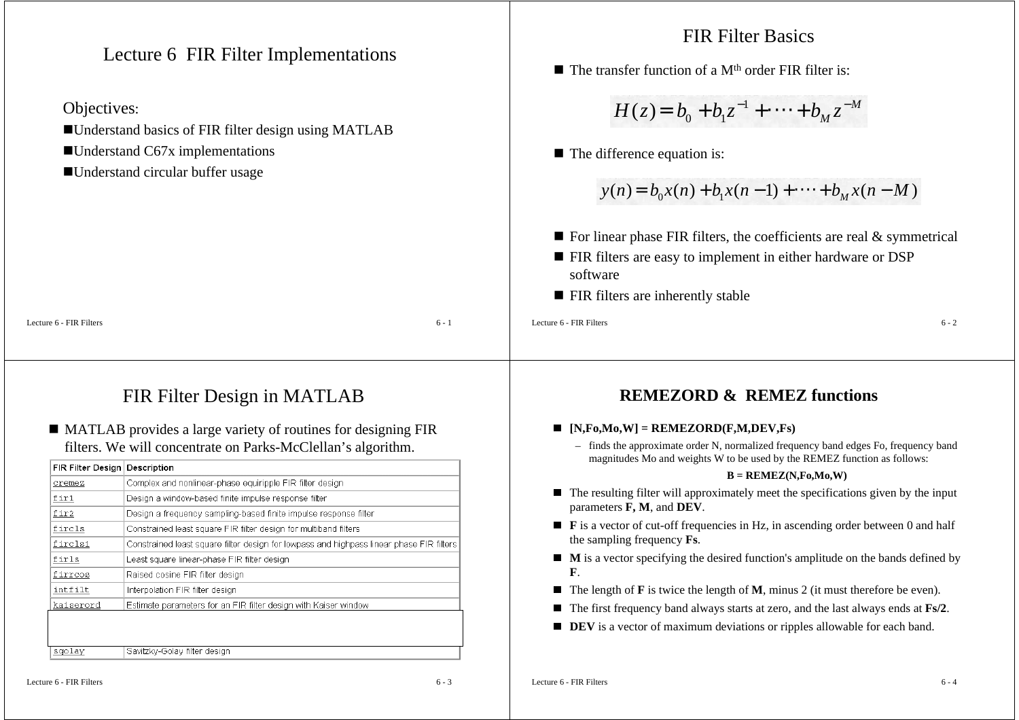Lecture 6 FIR Filter Implementations

### Objectives:

- Understand basics of FIR filter design using MATLAB
- ■Understand C67x implementations
- Understand circular buffer usage

### FIR Filter Basics

 $\blacksquare$  The transfer function of a M<sup>th</sup> order FIR filter is:

$$
H(z) = b_0 + b_1 z^{-1} + \dots + b_M z^{-M}
$$

■ The difference equation is:

$$
y(n) = b_0 x(n) + b_1 x(n-1) + \dots + b_M x(n-M)
$$

- $\blacksquare$  For linear phase FIR filters, the coefficients are real & symmetrical
- **FIR filters are easy to implement in either hardware or DSP** software
- **FIR filters are inherently stable**

Lecture 6 - FIR Filters

 $\sim$  6 - 2

# FIR Filter Design in MATLAB

s  $6 - 1$ 

### MATLAB provides a large variety of routines for designing FIR filters. We will concentrate on Parks-McClellan's algorithm.

| FIR Filter Design | Description                                                                              |
|-------------------|------------------------------------------------------------------------------------------|
| cremez            | Complex and nonlinear-phase equiripple FIR filter design                                 |
| firl              | Design a window-based finite impulse response filter                                     |
| fir2              | Design a frequency sampling-based finite impulse response filter                         |
| fircls            | Constrained least square FIR filter design for multiband filters                         |
| fircls1           | Constrained least square filter design for lowpass and highpass linear phase FIR filters |
| firls             | Least square linear-phase FIR filter design                                              |
| firrcos           | Raised cosine FIR filter design                                                          |
| intfilt           | Interpolation FIR filter design                                                          |
| kaiserord         | Estimate parameters for an FIR filter design with Kaiser window                          |
|                   | vangnos nos sociedademia agunos cos nos assigo                                           |
|                   | Halin, Med Scher andmed Hill liller analer andmedian                                     |
| sgolay            | Savitzky-Golay filter design                                                             |

### **REMEZORD & REMEZ functions**

### **[N,Fo,Mo,W] = REMEZORD(F,M,DEV,Fs)**

– finds the approximate order N, normalized frequency band edges Fo, frequency band magnitudes Mo and weights W to be used by the REMEZ function as follows:

#### **B = REMEZ(N,Fo,Mo,W)**

- The resulting filter will approximately meet the specifications given by the input parameters **F, M**, and **DEV**.
- **F** is a vector of cut-off frequencies in Hz, in ascending order between 0 and half the sampling frequency **Fs**.
- **M** is a vector specifying the desired function's amplitude on the bands defined by **F**.
- The length of **F** is twice the length of **M**, minus 2 (it must therefore be even).
- The first frequency band always starts at zero, and the last always ends at **Fs/2**.
- **DEV** is a vector of maximum deviations or ripples allowable for each band.

Lecture 6 - FIR Filters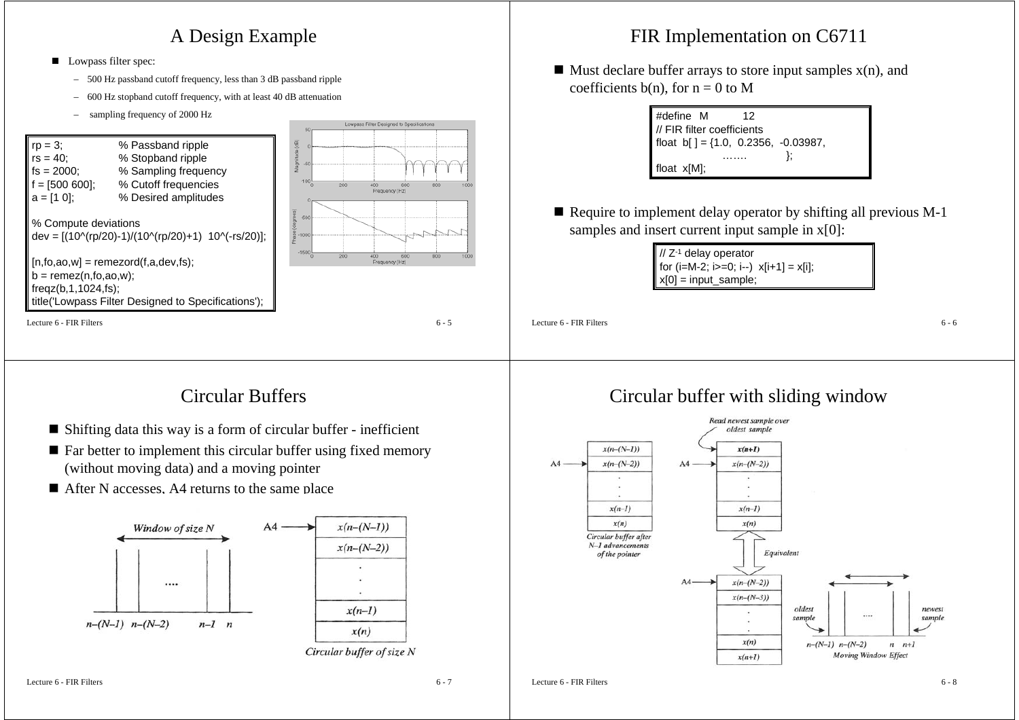### A Design Example

- Lowpass filter spec:
	- –500 Hz passband cutoff frequency, less than 3 dB passband ripple
	- $\overline{a}$ 600 Hz stopband cutoff frequency, with at least 40 dB attenuation
	- sampling frequency of 2000 Hz



## FIR Implementation on C6711

 $\blacksquare$  Must declare buffer arrays to store input samples  $x(n)$ , and coefficients  $b(n)$ , for  $n = 0$  to M

| #define M                                          | 12 |  |
|----------------------------------------------------|----|--|
| // FIR filter coefficients                         |    |  |
| $\text{float } b[ ] = \{1.0, 0.2356, -0.03987, \}$ |    |  |
|                                                    |    |  |
| float x[M];                                        |    |  |

■ Require to implement delay operator by shifting all previous M-1 samples and insert current input sample in  $x[0]$ :

> // Z-1 delay operator for  $(i=M-2; i>=0; i-)$   $x[i+1] = x[i]$ ;  $x[0] = input$  sample;

Lecture 6 - FIR Filters

 $\sim$  6 - 6

## Circular Buffers

- Shifting data this way is a form of circular buffer inefficient
- Far better to implement this circular buffer using fixed memory (without moving data) and a moving pointer
- After N accesses, A4 returns to the same place



### Circular buffer with sliding window